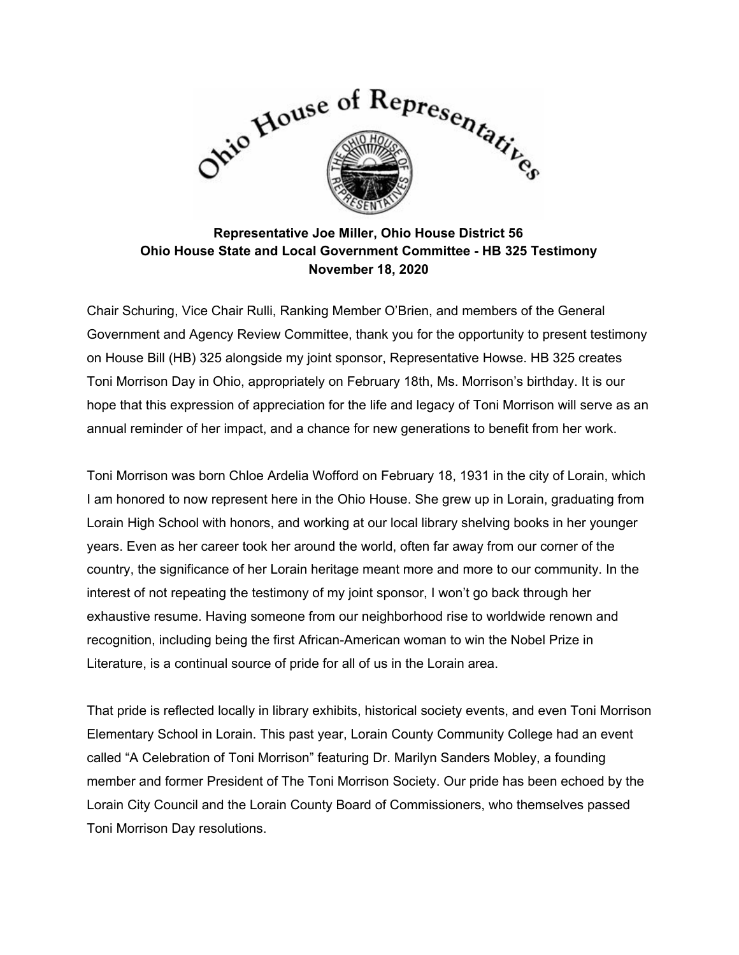

## **Representative Joe Miller, Ohio House District 56 Ohio House State and Local Government Committee - HB 325 Testimony November 18, 2020**

Chair Schuring, Vice Chair Rulli, Ranking Member O'Brien, and members of the General Government and Agency Review Committee, thank you for the opportunity to present testimony on House Bill (HB) 325 alongside my joint sponsor, Representative Howse. HB 325 creates Toni Morrison Day in Ohio, appropriately on February 18th, Ms. Morrison's birthday. It is our hope that this expression of appreciation for the life and legacy of Toni Morrison will serve as an annual reminder of her impact, and a chance for new generations to benefit from her work.

Toni Morrison was born Chloe Ardelia Wofford on February 18, 1931 in the city of Lorain, which I am honored to now represent here in the Ohio House. She grew up in Lorain, graduating from Lorain High School with honors, and working at our local library shelving books in her younger years. Even as her career took her around the world, often far away from our corner of the country, the significance of her Lorain heritage meant more and more to our community. In the interest of not repeating the testimony of my joint sponsor, I won't go back through her exhaustive resume. Having someone from our neighborhood rise to worldwide renown and recognition, including being the first African-American woman to win the Nobel Prize in Literature, is a continual source of pride for all of us in the Lorain area.

That pride is reflected locally in library exhibits, historical society events, and even Toni Morrison Elementary School in Lorain. This past year, Lorain County Community College had an event called "A Celebration of Toni Morrison" featuring Dr. Marilyn Sanders Mobley, a founding member and former President of The Toni Morrison Society. Our pride has been echoed by the Lorain City Council and the Lorain County Board of Commissioners, who themselves passed Toni Morrison Day resolutions.